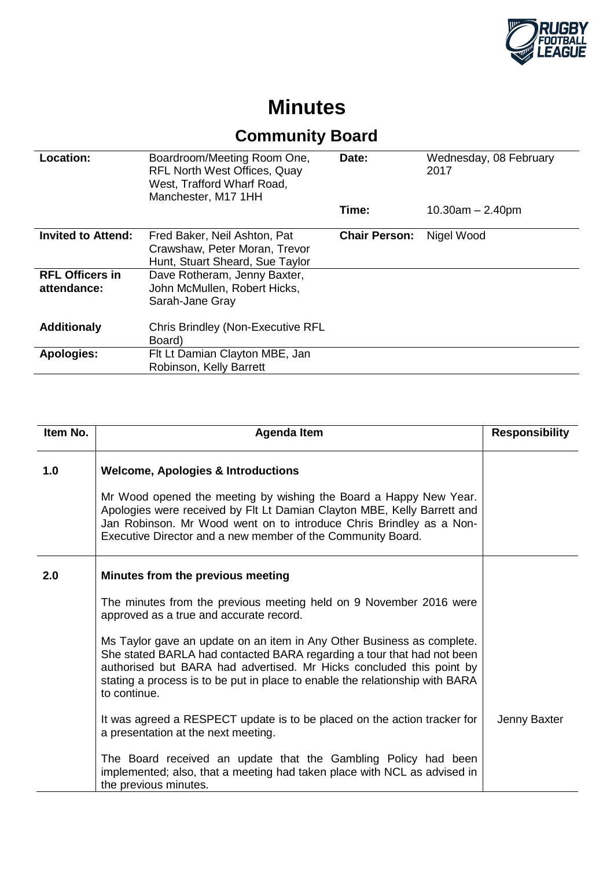

## **Minutes**

## **Community Board**

| Location:                             | Boardroom/Meeting Room One,<br><b>RFL North West Offices, Quay</b><br>West, Trafford Wharf Road,<br>Manchester, M17 1HH | Date:                | Wednesday, 08 February<br>2017 |
|---------------------------------------|-------------------------------------------------------------------------------------------------------------------------|----------------------|--------------------------------|
|                                       |                                                                                                                         | Time:                | $10.30$ am $- 2.40$ pm         |
| <b>Invited to Attend:</b>             | Fred Baker, Neil Ashton, Pat<br>Crawshaw, Peter Moran, Trevor<br>Hunt, Stuart Sheard, Sue Taylor                        | <b>Chair Person:</b> | Nigel Wood                     |
| <b>RFL Officers in</b><br>attendance: | Dave Rotheram, Jenny Baxter,<br>John McMullen, Robert Hicks,<br>Sarah-Jane Gray                                         |                      |                                |
| <b>Additionaly</b>                    | <b>Chris Brindley (Non-Executive RFL</b><br>Board)                                                                      |                      |                                |
| <b>Apologies:</b>                     | Flt Lt Damian Clayton MBE, Jan<br>Robinson, Kelly Barrett                                                               |                      |                                |

| Item No. | <b>Agenda Item</b>                                                                                                                                                                                                                                                                                                                  | <b>Responsibility</b> |
|----------|-------------------------------------------------------------------------------------------------------------------------------------------------------------------------------------------------------------------------------------------------------------------------------------------------------------------------------------|-----------------------|
| 1.0      | <b>Welcome, Apologies &amp; Introductions</b><br>Mr Wood opened the meeting by wishing the Board a Happy New Year.<br>Apologies were received by Flt Lt Damian Clayton MBE, Kelly Barrett and<br>Jan Robinson. Mr Wood went on to introduce Chris Brindley as a Non-<br>Executive Director and a new member of the Community Board. |                       |
| 2.0      | Minutes from the previous meeting                                                                                                                                                                                                                                                                                                   |                       |
|          | The minutes from the previous meeting held on 9 November 2016 were<br>approved as a true and accurate record.                                                                                                                                                                                                                       |                       |
|          | Ms Taylor gave an update on an item in Any Other Business as complete.<br>She stated BARLA had contacted BARA regarding a tour that had not been<br>authorised but BARA had advertised. Mr Hicks concluded this point by<br>stating a process is to be put in place to enable the relationship with BARA<br>to continue.            |                       |
|          | It was agreed a RESPECT update is to be placed on the action tracker for<br>a presentation at the next meeting.                                                                                                                                                                                                                     | Jenny Baxter          |
|          | The Board received an update that the Gambling Policy had been<br>implemented; also, that a meeting had taken place with NCL as advised in<br>the previous minutes.                                                                                                                                                                 |                       |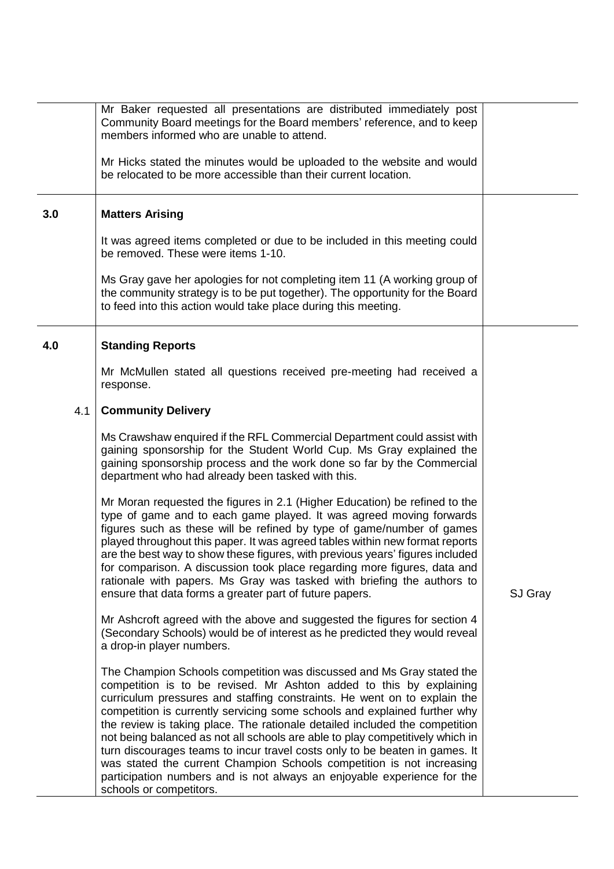|     | Mr Baker requested all presentations are distributed immediately post<br>Community Board meetings for the Board members' reference, and to keep<br>members informed who are unable to attend.<br>Mr Hicks stated the minutes would be uploaded to the website and would<br>be relocated to be more accessible than their current location.                                                                                                                                                                                                                                                                                                                                                                                          |         |
|-----|-------------------------------------------------------------------------------------------------------------------------------------------------------------------------------------------------------------------------------------------------------------------------------------------------------------------------------------------------------------------------------------------------------------------------------------------------------------------------------------------------------------------------------------------------------------------------------------------------------------------------------------------------------------------------------------------------------------------------------------|---------|
| 3.0 | <b>Matters Arising</b>                                                                                                                                                                                                                                                                                                                                                                                                                                                                                                                                                                                                                                                                                                              |         |
|     | It was agreed items completed or due to be included in this meeting could<br>be removed. These were items 1-10.                                                                                                                                                                                                                                                                                                                                                                                                                                                                                                                                                                                                                     |         |
|     | Ms Gray gave her apologies for not completing item 11 (A working group of<br>the community strategy is to be put together). The opportunity for the Board<br>to feed into this action would take place during this meeting.                                                                                                                                                                                                                                                                                                                                                                                                                                                                                                         |         |
| 4.0 | <b>Standing Reports</b>                                                                                                                                                                                                                                                                                                                                                                                                                                                                                                                                                                                                                                                                                                             |         |
|     | Mr McMullen stated all questions received pre-meeting had received a<br>response.                                                                                                                                                                                                                                                                                                                                                                                                                                                                                                                                                                                                                                                   |         |
| 4.1 | <b>Community Delivery</b>                                                                                                                                                                                                                                                                                                                                                                                                                                                                                                                                                                                                                                                                                                           |         |
|     | Ms Crawshaw enquired if the RFL Commercial Department could assist with<br>gaining sponsorship for the Student World Cup. Ms Gray explained the<br>gaining sponsorship process and the work done so far by the Commercial<br>department who had already been tasked with this.                                                                                                                                                                                                                                                                                                                                                                                                                                                      |         |
|     | Mr Moran requested the figures in 2.1 (Higher Education) be refined to the<br>type of game and to each game played. It was agreed moving forwards<br>figures such as these will be refined by type of game/number of games<br>played throughout this paper. It was agreed tables within new format reports<br>are the best way to show these figures, with previous years' figures included<br>for comparison. A discussion took place regarding more figures, data and<br>rationale with papers. Ms Gray was tasked with briefing the authors to<br>ensure that data forms a greater part of future papers.                                                                                                                        | SJ Gray |
|     | Mr Ashcroft agreed with the above and suggested the figures for section 4<br>(Secondary Schools) would be of interest as he predicted they would reveal<br>a drop-in player numbers.                                                                                                                                                                                                                                                                                                                                                                                                                                                                                                                                                |         |
|     | The Champion Schools competition was discussed and Ms Gray stated the<br>competition is to be revised. Mr Ashton added to this by explaining<br>curriculum pressures and staffing constraints. He went on to explain the<br>competition is currently servicing some schools and explained further why<br>the review is taking place. The rationale detailed included the competition<br>not being balanced as not all schools are able to play competitively which in<br>turn discourages teams to incur travel costs only to be beaten in games. It<br>was stated the current Champion Schools competition is not increasing<br>participation numbers and is not always an enjoyable experience for the<br>schools or competitors. |         |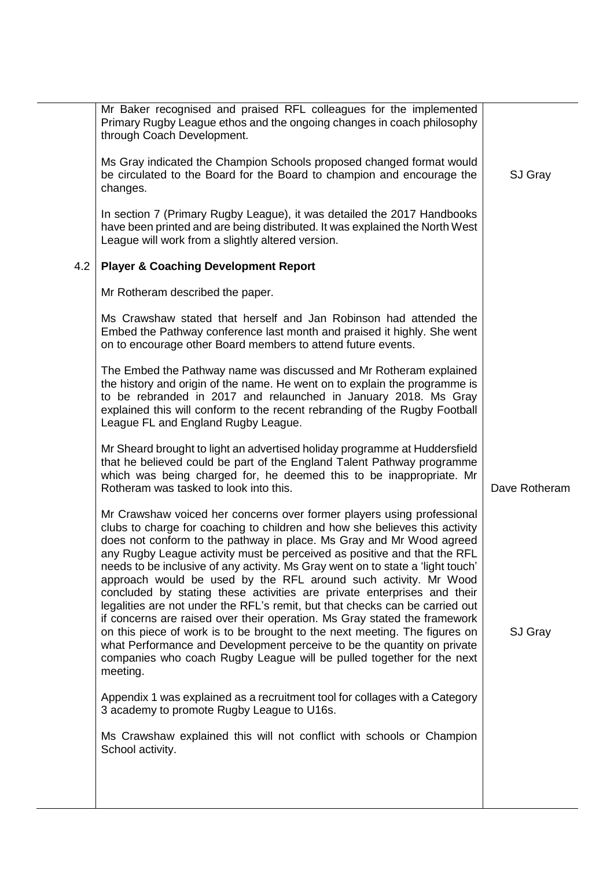| Mr Baker recognised and praised RFL colleagues for the implemented<br>Primary Rugby League ethos and the ongoing changes in coach philosophy<br>through Coach Development.<br>Ms Gray indicated the Champion Schools proposed changed format would<br>be circulated to the Board for the Board to champion and encourage the<br>SJ Gray<br>changes.<br>In section 7 (Primary Rugby League), it was detailed the 2017 Handbooks<br>have been printed and are being distributed. It was explained the North West<br>League will work from a slightly altered version.                                                                                                                                                                                                                                                                                                                                                                                              |  |
|------------------------------------------------------------------------------------------------------------------------------------------------------------------------------------------------------------------------------------------------------------------------------------------------------------------------------------------------------------------------------------------------------------------------------------------------------------------------------------------------------------------------------------------------------------------------------------------------------------------------------------------------------------------------------------------------------------------------------------------------------------------------------------------------------------------------------------------------------------------------------------------------------------------------------------------------------------------|--|
|                                                                                                                                                                                                                                                                                                                                                                                                                                                                                                                                                                                                                                                                                                                                                                                                                                                                                                                                                                  |  |
|                                                                                                                                                                                                                                                                                                                                                                                                                                                                                                                                                                                                                                                                                                                                                                                                                                                                                                                                                                  |  |
|                                                                                                                                                                                                                                                                                                                                                                                                                                                                                                                                                                                                                                                                                                                                                                                                                                                                                                                                                                  |  |
| 4.2<br><b>Player &amp; Coaching Development Report</b>                                                                                                                                                                                                                                                                                                                                                                                                                                                                                                                                                                                                                                                                                                                                                                                                                                                                                                           |  |
| Mr Rotheram described the paper.                                                                                                                                                                                                                                                                                                                                                                                                                                                                                                                                                                                                                                                                                                                                                                                                                                                                                                                                 |  |
| Ms Crawshaw stated that herself and Jan Robinson had attended the<br>Embed the Pathway conference last month and praised it highly. She went<br>on to encourage other Board members to attend future events.                                                                                                                                                                                                                                                                                                                                                                                                                                                                                                                                                                                                                                                                                                                                                     |  |
| The Embed the Pathway name was discussed and Mr Rotheram explained<br>the history and origin of the name. He went on to explain the programme is<br>to be rebranded in 2017 and relaunched in January 2018. Ms Gray<br>explained this will conform to the recent rebranding of the Rugby Football<br>League FL and England Rugby League.                                                                                                                                                                                                                                                                                                                                                                                                                                                                                                                                                                                                                         |  |
| Mr Sheard brought to light an advertised holiday programme at Huddersfield<br>that he believed could be part of the England Talent Pathway programme<br>which was being charged for, he deemed this to be inappropriate. Mr<br>Rotheram was tasked to look into this.<br>Dave Rotheram                                                                                                                                                                                                                                                                                                                                                                                                                                                                                                                                                                                                                                                                           |  |
| Mr Crawshaw voiced her concerns over former players using professional<br>clubs to charge for coaching to children and how she believes this activity<br>does not conform to the pathway in place. Ms Gray and Mr Wood agreed<br>any Rugby League activity must be perceived as positive and that the RFL<br>needs to be inclusive of any activity. Ms Gray went on to state a 'light touch'<br>approach would be used by the RFL around such activity. Mr Wood<br>concluded by stating these activities are private enterprises and their<br>legalities are not under the RFL's remit, but that checks can be carried out<br>if concerns are raised over their operation. Ms Gray stated the framework<br>on this piece of work is to be brought to the next meeting. The figures on<br>SJ Gray<br>what Performance and Development perceive to be the quantity on private<br>companies who coach Rugby League will be pulled together for the next<br>meeting. |  |
| Appendix 1 was explained as a recruitment tool for collages with a Category<br>3 academy to promote Rugby League to U16s.                                                                                                                                                                                                                                                                                                                                                                                                                                                                                                                                                                                                                                                                                                                                                                                                                                        |  |
| Ms Crawshaw explained this will not conflict with schools or Champion<br>School activity.                                                                                                                                                                                                                                                                                                                                                                                                                                                                                                                                                                                                                                                                                                                                                                                                                                                                        |  |
|                                                                                                                                                                                                                                                                                                                                                                                                                                                                                                                                                                                                                                                                                                                                                                                                                                                                                                                                                                  |  |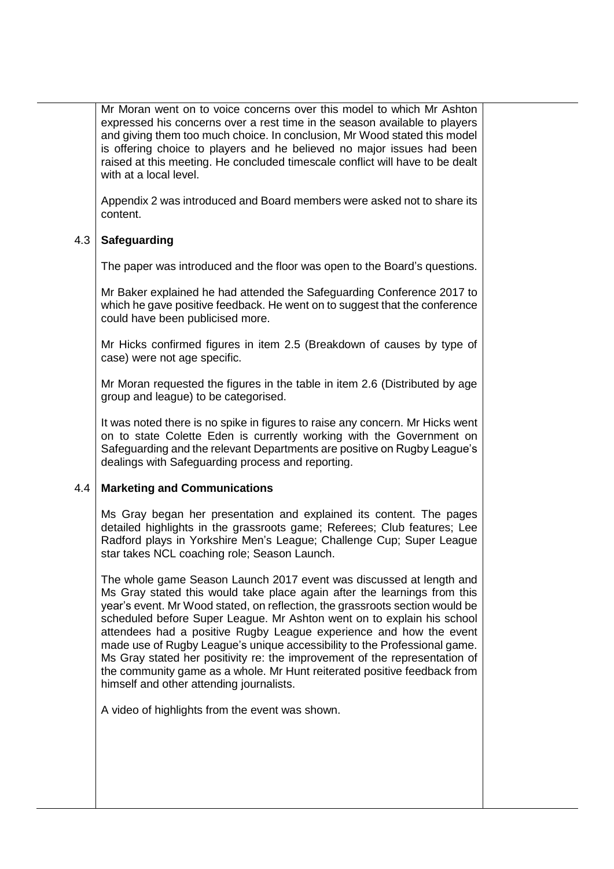Mr Moran went on to voice concerns over this model to which Mr Ashton expressed his concerns over a rest time in the season available to players and giving them too much choice. In conclusion, Mr Wood stated this model is offering choice to players and he believed no major issues had been raised at this meeting. He concluded timescale conflict will have to be dealt with at a local level.

Appendix 2 was introduced and Board members were asked not to share its content.

## 4.3 **Safeguarding**

The paper was introduced and the floor was open to the Board's questions.

Mr Baker explained he had attended the Safeguarding Conference 2017 to which he gave positive feedback. He went on to suggest that the conference could have been publicised more.

Mr Hicks confirmed figures in item 2.5 (Breakdown of causes by type of case) were not age specific.

Mr Moran requested the figures in the table in item 2.6 (Distributed by age group and league) to be categorised.

It was noted there is no spike in figures to raise any concern. Mr Hicks went on to state Colette Eden is currently working with the Government on Safeguarding and the relevant Departments are positive on Rugby League's dealings with Safeguarding process and reporting.

## 4.4 **Marketing and Communications**

Ms Gray began her presentation and explained its content. The pages detailed highlights in the grassroots game; Referees; Club features; Lee Radford plays in Yorkshire Men's League; Challenge Cup; Super League star takes NCL coaching role; Season Launch.

The whole game Season Launch 2017 event was discussed at length and Ms Gray stated this would take place again after the learnings from this year's event. Mr Wood stated, on reflection, the grassroots section would be scheduled before Super League. Mr Ashton went on to explain his school attendees had a positive Rugby League experience and how the event made use of Rugby League's unique accessibility to the Professional game. Ms Gray stated her positivity re: the improvement of the representation of the community game as a whole. Mr Hunt reiterated positive feedback from himself and other attending journalists.

A video of highlights from the event was shown.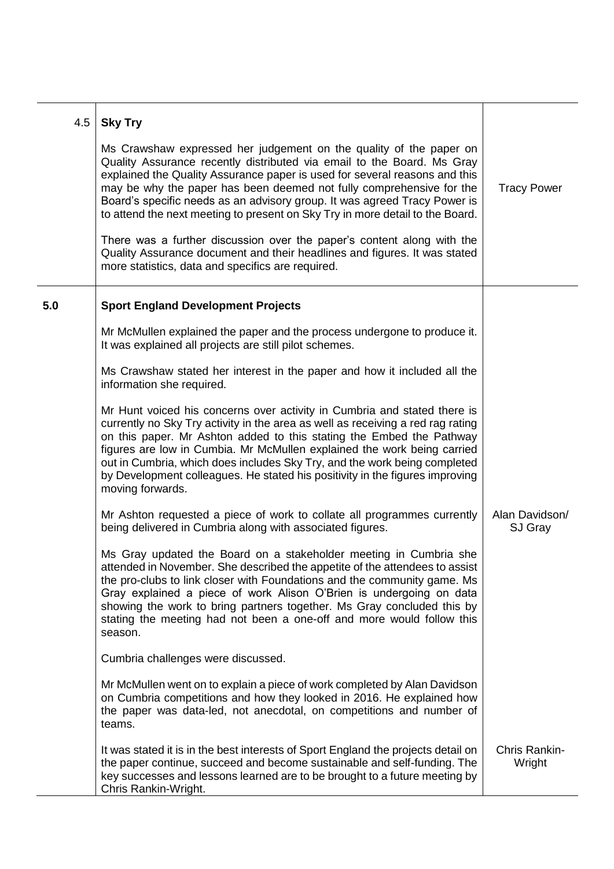| 4.5 | <b>Sky Try</b>                                                                                                                                                                                                                                                                                                                                                                                                                                                                                  |                           |
|-----|-------------------------------------------------------------------------------------------------------------------------------------------------------------------------------------------------------------------------------------------------------------------------------------------------------------------------------------------------------------------------------------------------------------------------------------------------------------------------------------------------|---------------------------|
|     | Ms Crawshaw expressed her judgement on the quality of the paper on<br>Quality Assurance recently distributed via email to the Board. Ms Gray<br>explained the Quality Assurance paper is used for several reasons and this<br>may be why the paper has been deemed not fully comprehensive for the<br>Board's specific needs as an advisory group. It was agreed Tracy Power is<br>to attend the next meeting to present on Sky Try in more detail to the Board.                                | <b>Tracy Power</b>        |
|     | There was a further discussion over the paper's content along with the<br>Quality Assurance document and their headlines and figures. It was stated<br>more statistics, data and specifics are required.                                                                                                                                                                                                                                                                                        |                           |
| 5.0 | <b>Sport England Development Projects</b>                                                                                                                                                                                                                                                                                                                                                                                                                                                       |                           |
|     | Mr McMullen explained the paper and the process undergone to produce it.<br>It was explained all projects are still pilot schemes.                                                                                                                                                                                                                                                                                                                                                              |                           |
|     | Ms Crawshaw stated her interest in the paper and how it included all the<br>information she required.                                                                                                                                                                                                                                                                                                                                                                                           |                           |
|     | Mr Hunt voiced his concerns over activity in Cumbria and stated there is<br>currently no Sky Try activity in the area as well as receiving a red rag rating<br>on this paper. Mr Ashton added to this stating the Embed the Pathway<br>figures are low in Cumbia. Mr McMullen explained the work being carried<br>out in Cumbria, which does includes Sky Try, and the work being completed<br>by Development colleagues. He stated his positivity in the figures improving<br>moving forwards. |                           |
|     | Mr Ashton requested a piece of work to collate all programmes currently<br>being delivered in Cumbria along with associated figures.                                                                                                                                                                                                                                                                                                                                                            | Alan Davidson/<br>SJ Gray |
|     | Ms Gray updated the Board on a stakeholder meeting in Cumbria she<br>attended in November. She described the appetite of the attendees to assist<br>the pro-clubs to link closer with Foundations and the community game. Ms<br>Gray explained a piece of work Alison O'Brien is undergoing on data<br>showing the work to bring partners together. Ms Gray concluded this by<br>stating the meeting had not been a one-off and more would follow this<br>season.                               |                           |
|     | Cumbria challenges were discussed.                                                                                                                                                                                                                                                                                                                                                                                                                                                              |                           |
|     | Mr McMullen went on to explain a piece of work completed by Alan Davidson<br>on Cumbria competitions and how they looked in 2016. He explained how<br>the paper was data-led, not anecdotal, on competitions and number of<br>teams.                                                                                                                                                                                                                                                            |                           |
|     | It was stated it is in the best interests of Sport England the projects detail on<br>the paper continue, succeed and become sustainable and self-funding. The<br>key successes and lessons learned are to be brought to a future meeting by<br>Chris Rankin-Wright.                                                                                                                                                                                                                             | Chris Rankin-<br>Wright   |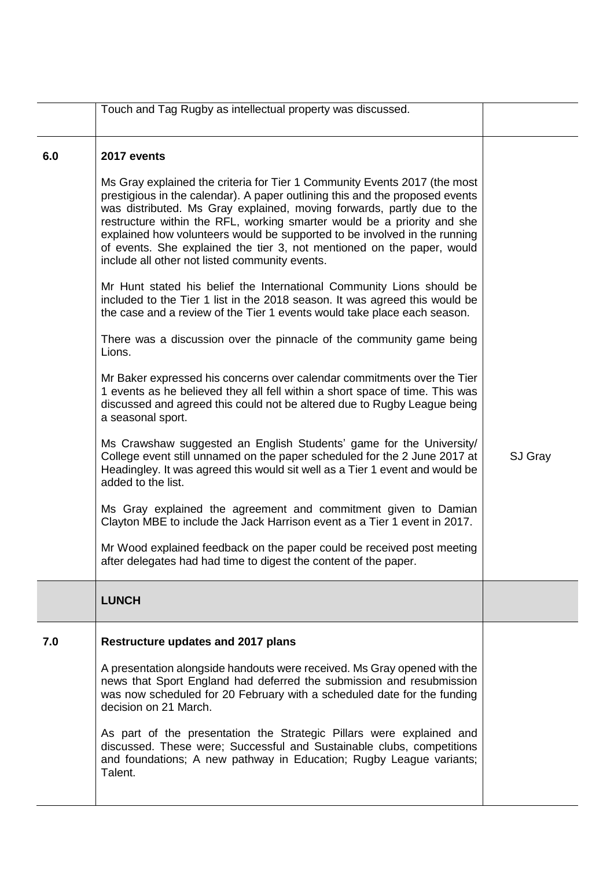|     | Touch and Tag Rugby as intellectual property was discussed.                                                                                                                                                                                                                                                                                                                                                                                                                                                             |         |
|-----|-------------------------------------------------------------------------------------------------------------------------------------------------------------------------------------------------------------------------------------------------------------------------------------------------------------------------------------------------------------------------------------------------------------------------------------------------------------------------------------------------------------------------|---------|
| 6.0 | 2017 events                                                                                                                                                                                                                                                                                                                                                                                                                                                                                                             |         |
|     | Ms Gray explained the criteria for Tier 1 Community Events 2017 (the most<br>prestigious in the calendar). A paper outlining this and the proposed events<br>was distributed. Ms Gray explained, moving forwards, partly due to the<br>restructure within the RFL, working smarter would be a priority and she<br>explained how volunteers would be supported to be involved in the running<br>of events. She explained the tier 3, not mentioned on the paper, would<br>include all other not listed community events. |         |
|     | Mr Hunt stated his belief the International Community Lions should be<br>included to the Tier 1 list in the 2018 season. It was agreed this would be<br>the case and a review of the Tier 1 events would take place each season.                                                                                                                                                                                                                                                                                        |         |
|     | There was a discussion over the pinnacle of the community game being<br>Lions.                                                                                                                                                                                                                                                                                                                                                                                                                                          |         |
|     | Mr Baker expressed his concerns over calendar commitments over the Tier<br>1 events as he believed they all fell within a short space of time. This was<br>discussed and agreed this could not be altered due to Rugby League being<br>a seasonal sport.                                                                                                                                                                                                                                                                |         |
|     | Ms Crawshaw suggested an English Students' game for the University/<br>College event still unnamed on the paper scheduled for the 2 June 2017 at<br>Headingley. It was agreed this would sit well as a Tier 1 event and would be<br>added to the list.                                                                                                                                                                                                                                                                  | SJ Gray |
|     | Ms Gray explained the agreement and commitment given to Damian<br>Clayton MBE to include the Jack Harrison event as a Tier 1 event in 2017.                                                                                                                                                                                                                                                                                                                                                                             |         |
|     | Mr Wood explained feedback on the paper could be received post meeting<br>after delegates had had time to digest the content of the paper.                                                                                                                                                                                                                                                                                                                                                                              |         |
|     | <b>LUNCH</b>                                                                                                                                                                                                                                                                                                                                                                                                                                                                                                            |         |
| 7.0 | Restructure updates and 2017 plans                                                                                                                                                                                                                                                                                                                                                                                                                                                                                      |         |
|     | A presentation alongside handouts were received. Ms Gray opened with the<br>news that Sport England had deferred the submission and resubmission<br>was now scheduled for 20 February with a scheduled date for the funding<br>decision on 21 March.                                                                                                                                                                                                                                                                    |         |
|     | As part of the presentation the Strategic Pillars were explained and<br>discussed. These were; Successful and Sustainable clubs, competitions<br>and foundations; A new pathway in Education; Rugby League variants;<br>Talent.                                                                                                                                                                                                                                                                                         |         |
|     |                                                                                                                                                                                                                                                                                                                                                                                                                                                                                                                         |         |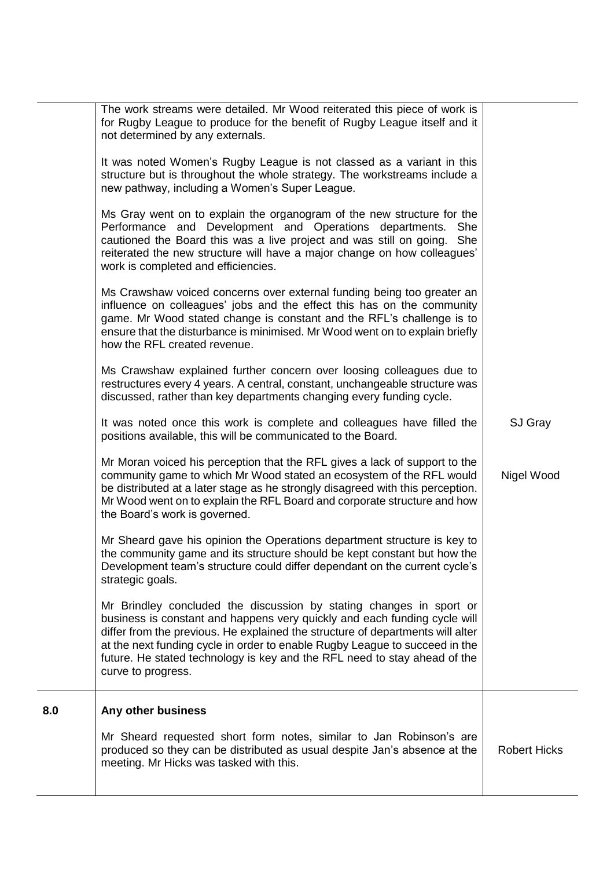|  | Any other business<br>8.0<br>Mr Sheard requested short form notes, similar to Jan Robinson's are<br>produced so they can be distributed as usual despite Jan's absence at the<br><b>Robert Hicks</b><br>meeting. Mr Hicks was tasked with this. |  | The work streams were detailed. Mr Wood reiterated this piece of work is<br>for Rugby League to produce for the benefit of Rugby League itself and it<br>not determined by any externals.<br>It was noted Women's Rugby League is not classed as a variant in this<br>structure but is throughout the whole strategy. The workstreams include a<br>new pathway, including a Women's Super League.<br>Ms Gray went on to explain the organogram of the new structure for the<br>Performance and Development and Operations departments. She<br>cautioned the Board this was a live project and was still on going. She<br>reiterated the new structure will have a major change on how colleagues'<br>work is completed and efficiencies.<br>Ms Crawshaw voiced concerns over external funding being too greater an<br>influence on colleagues' jobs and the effect this has on the community<br>game. Mr Wood stated change is constant and the RFL's challenge is to<br>ensure that the disturbance is minimised. Mr Wood went on to explain briefly<br>how the RFL created revenue.<br>Ms Crawshaw explained further concern over loosing colleagues due to<br>restructures every 4 years. A central, constant, unchangeable structure was<br>discussed, rather than key departments changing every funding cycle.<br>It was noted once this work is complete and colleagues have filled the<br>positions available, this will be communicated to the Board.<br>Mr Moran voiced his perception that the RFL gives a lack of support to the<br>community game to which Mr Wood stated an ecosystem of the RFL would<br>be distributed at a later stage as he strongly disagreed with this perception.<br>Mr Wood went on to explain the RFL Board and corporate structure and how<br>the Board's work is governed.<br>Mr Sheard gave his opinion the Operations department structure is key to<br>the community game and its structure should be kept constant but how the<br>Development team's structure could differ dependant on the current cycle's<br>strategic goals.<br>Mr Brindley concluded the discussion by stating changes in sport or<br>business is constant and happens very quickly and each funding cycle will<br>differ from the previous. He explained the structure of departments will alter<br>at the next funding cycle in order to enable Rugby League to succeed in the<br>future. He stated technology is key and the RFL need to stay ahead of the<br>curve to progress. | SJ Gray<br>Nigel Wood |
|--|-------------------------------------------------------------------------------------------------------------------------------------------------------------------------------------------------------------------------------------------------|--|-------------------------------------------------------------------------------------------------------------------------------------------------------------------------------------------------------------------------------------------------------------------------------------------------------------------------------------------------------------------------------------------------------------------------------------------------------------------------------------------------------------------------------------------------------------------------------------------------------------------------------------------------------------------------------------------------------------------------------------------------------------------------------------------------------------------------------------------------------------------------------------------------------------------------------------------------------------------------------------------------------------------------------------------------------------------------------------------------------------------------------------------------------------------------------------------------------------------------------------------------------------------------------------------------------------------------------------------------------------------------------------------------------------------------------------------------------------------------------------------------------------------------------------------------------------------------------------------------------------------------------------------------------------------------------------------------------------------------------------------------------------------------------------------------------------------------------------------------------------------------------------------------------------------------------------------------------------------------------------------------------------------------------------------------------------------------------------------------------------------------------------------------------------------------------------------------------------------------------------------------------------------------------------------------------------------------------------------------------------------------------------------------------------------------------------------------------------------------------------------------------|-----------------------|
|--|-------------------------------------------------------------------------------------------------------------------------------------------------------------------------------------------------------------------------------------------------|--|-------------------------------------------------------------------------------------------------------------------------------------------------------------------------------------------------------------------------------------------------------------------------------------------------------------------------------------------------------------------------------------------------------------------------------------------------------------------------------------------------------------------------------------------------------------------------------------------------------------------------------------------------------------------------------------------------------------------------------------------------------------------------------------------------------------------------------------------------------------------------------------------------------------------------------------------------------------------------------------------------------------------------------------------------------------------------------------------------------------------------------------------------------------------------------------------------------------------------------------------------------------------------------------------------------------------------------------------------------------------------------------------------------------------------------------------------------------------------------------------------------------------------------------------------------------------------------------------------------------------------------------------------------------------------------------------------------------------------------------------------------------------------------------------------------------------------------------------------------------------------------------------------------------------------------------------------------------------------------------------------------------------------------------------------------------------------------------------------------------------------------------------------------------------------------------------------------------------------------------------------------------------------------------------------------------------------------------------------------------------------------------------------------------------------------------------------------------------------------------------------------|-----------------------|